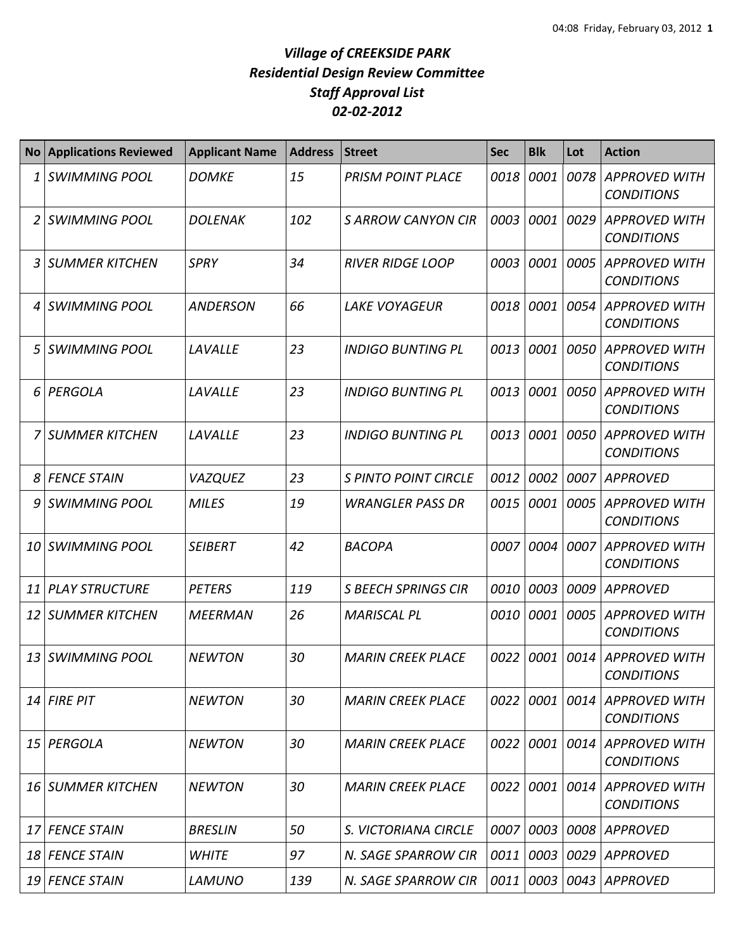## *Village of CREEKSIDE PARK Residential Design Review Committee Staff Approval List 02-02-2012*

| <b>No</b> | <b>Applications Reviewed</b> | <b>Applicant Name</b> | <b>Address</b> | <b>Street</b>               | <b>Sec</b> | <b>Blk</b> | Lot  | <b>Action</b>                             |
|-----------|------------------------------|-----------------------|----------------|-----------------------------|------------|------------|------|-------------------------------------------|
| 1         | <b>SWIMMING POOL</b>         | <b>DOMKE</b>          | 15             | <b>PRISM POINT PLACE</b>    | 0018       | 0001       | 0078 | <b>APPROVED WITH</b><br><b>CONDITIONS</b> |
|           | <b>SWIMMING POOL</b>         | <b>DOLENAK</b>        | 102            | <b>SARROW CANYON CIR</b>    | 0003       | 0001       | 0029 | <b>APPROVED WITH</b><br><b>CONDITIONS</b> |
| 3         | <b>SUMMER KITCHEN</b>        | <b>SPRY</b>           | 34             | <b>RIVER RIDGE LOOP</b>     | 0003       | 0001       | 0005 | <b>APPROVED WITH</b><br><b>CONDITIONS</b> |
| 4         | <b>SWIMMING POOL</b>         | <b>ANDERSON</b>       | 66             | <b>LAKE VOYAGEUR</b>        | 0018       | 0001       | 0054 | <b>APPROVED WITH</b><br><b>CONDITIONS</b> |
| 5         | <b>SWIMMING POOL</b>         | LAVALLE               | 23             | <b>INDIGO BUNTING PL</b>    | 0013       | 0001       | 0050 | <b>APPROVED WITH</b><br><b>CONDITIONS</b> |
| 6         | PERGOLA                      | LAVALLE               | 23             | <b>INDIGO BUNTING PL</b>    | 0013       | 0001       | 0050 | <b>APPROVED WITH</b><br><b>CONDITIONS</b> |
|           | <b>7 SUMMER KITCHEN</b>      | LAVALLE               | 23             | <b>INDIGO BUNTING PL</b>    | 0013       | 0001       | 0050 | <b>APPROVED WITH</b><br><b>CONDITIONS</b> |
| 8         | <b>FENCE STAIN</b>           | <b>VAZQUEZ</b>        | 23             | <b>S PINTO POINT CIRCLE</b> | 0012       | 0002       | 0007 | <b>APPROVED</b>                           |
| 9         | <b>SWIMMING POOL</b>         | <b>MILES</b>          | 19             | <b>WRANGLER PASS DR</b>     | 0015       | 0001       | 0005 | <b>APPROVED WITH</b><br><b>CONDITIONS</b> |
| 10        | <b>SWIMMING POOL</b>         | <b>SEIBERT</b>        | 42             | <b>BACOPA</b>               | 0007       | 0004       | 0007 | <b>APPROVED WITH</b><br><b>CONDITIONS</b> |
| 11        | <b>PLAY STRUCTURE</b>        | <b>PETERS</b>         | 119            | <b>S BEECH SPRINGS CIR</b>  | 0010       | 0003       | 0009 | <b>APPROVED</b>                           |
| 12        | <b>SUMMER KITCHEN</b>        | <b>MEERMAN</b>        | 26             | <b>MARISCAL PL</b>          | 0010       | 0001       | 0005 | <b>APPROVED WITH</b><br><b>CONDITIONS</b> |
| 13        | <b>SWIMMING POOL</b>         | <b>NEWTON</b>         | 30             | <b>MARIN CREEK PLACE</b>    | 0022       | 0001       | 0014 | <b>APPROVED WITH</b><br><b>CONDITIONS</b> |
|           | $14$ FIRE PIT                | <b>NEWTON</b>         | 30             | <b>MARIN CREEK PLACE</b>    | 0022       | 0001       | 0014 | <b>APPROVED WITH</b><br><b>CONDITIONS</b> |
|           | 15 PERGOLA                   | <b>NEWTON</b>         | 30             | <b>MARIN CREEK PLACE</b>    | 0022       | 0001       | 0014 | <b>APPROVED WITH</b><br><b>CONDITIONS</b> |
|           | 16 SUMMER KITCHEN            | <b>NEWTON</b>         | 30             | <b>MARIN CREEK PLACE</b>    | 0022       | 0001       | 0014 | <b>APPROVED WITH</b><br><b>CONDITIONS</b> |
| 17        | <b>FENCE STAIN</b>           | <b>BRESLIN</b>        | 50             | S. VICTORIANA CIRCLE        | 0007       | 0003       | 0008 | <b>APPROVED</b>                           |
| 18        | <b>FENCE STAIN</b>           | <b>WHITE</b>          | 97             | N. SAGE SPARROW CIR         | 0011       | 0003       | 0029 | <b>APPROVED</b>                           |
|           | 19 FENCE STAIN               | <b>LAMUNO</b>         | 139            | N. SAGE SPARROW CIR         | 0011       | 0003       |      | 0043 APPROVED                             |